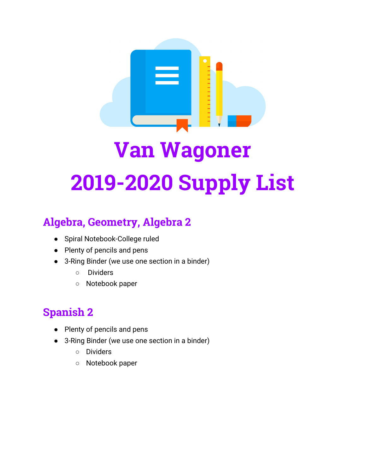

## **Algebra, Geometry, Algebra 2**

- Spiral Notebook-College ruled
- Plenty of pencils and pens
- 3-Ring Binder (we use one section in a binder)
	- Dividers
	- Notebook paper

## **Spanish 2**

- Plenty of pencils and pens
- 3-Ring Binder (we use one section in a binder)
	- Dividers
	- Notebook paper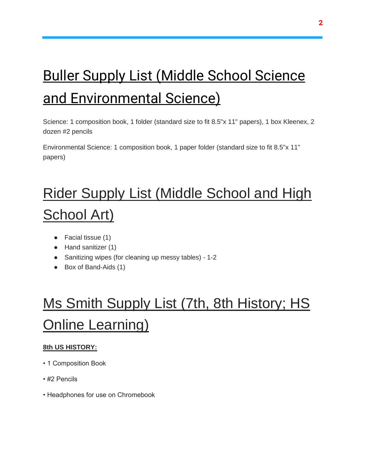# Buller Supply List (Middle School Science and Environmental Science)

Science: 1 composition book, 1 folder (standard size to fit 8.5"x 11" papers), 1 box Kleenex, 2 dozen #2 pencils

Environmental Science: 1 composition book, 1 paper folder (standard size to fit 8.5"x 11" papers)

# Rider Supply List (Middle School and High School Art)

- Facial tissue (1)
- Hand sanitizer (1)
- Sanitizing wipes (for cleaning up messy tables) 1-2
- Box of Band-Aids (1)

## Ms Smith Supply List (7th, 8th History; HS **Online Learning)**

### **8th US HISTORY:**

- 1 Composition Book
- #2 Pencils
- Headphones for use on Chromebook